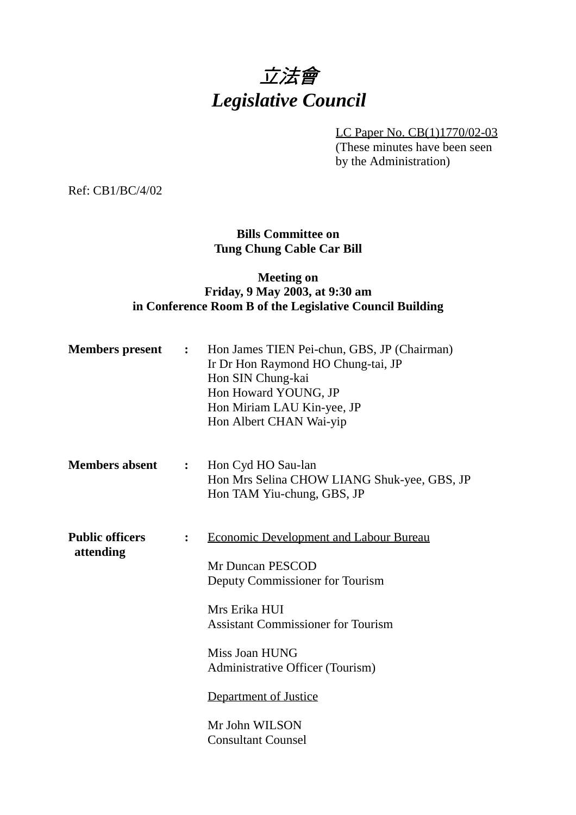# 立法會 *Legislative Council*

LC Paper No. CB(1)1770/02-03

(These minutes have been seen by the Administration)

Ref: CB1/BC/4/02

## **Bills Committee on Tung Chung Cable Car Bill**

## **Meeting on Friday, 9 May 2003, at 9:30 am in Conference Room B of the Legislative Council Building**

| <b>Members</b> present              | $\ddot{\bullet}$ | Hon James TIEN Pei-chun, GBS, JP (Chairman)<br>Ir Dr Hon Raymond HO Chung-tai, JP<br>Hon SIN Chung-kai<br>Hon Howard YOUNG, JP<br>Hon Miriam LAU Kin-yee, JP<br>Hon Albert CHAN Wai-yip                                                                                                          |
|-------------------------------------|------------------|--------------------------------------------------------------------------------------------------------------------------------------------------------------------------------------------------------------------------------------------------------------------------------------------------|
| <b>Members absent</b>               | $\ddot{\cdot}$   | Hon Cyd HO Sau-lan<br>Hon Mrs Selina CHOW LIANG Shuk-yee, GBS, JP<br>Hon TAM Yiu-chung, GBS, JP                                                                                                                                                                                                  |
| <b>Public officers</b><br>attending | $\ddot{\cdot}$   | <b>Economic Development and Labour Bureau</b><br>Mr Duncan PESCOD<br>Deputy Commissioner for Tourism<br>Mrs Erika HUI<br><b>Assistant Commissioner for Tourism</b><br>Miss Joan HUNG<br>Administrative Officer (Tourism)<br>Department of Justice<br>Mr John WILSON<br><b>Consultant Counsel</b> |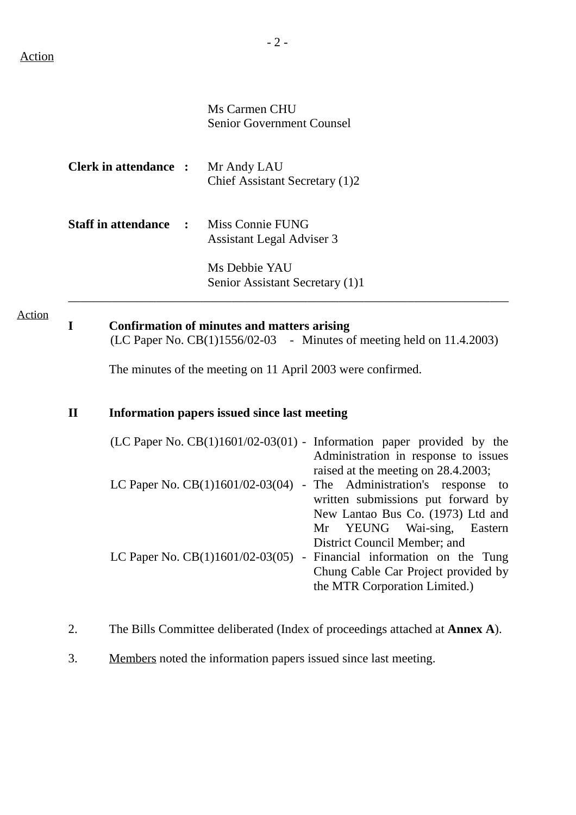Ms Carmen CHU Senior Government Counsel

| <b>Clerk in attendance :</b> | Mr Andy LAU                    |
|------------------------------|--------------------------------|
|                              | Chief Assistant Secretary (1)2 |
|                              |                                |

**Staff in attendance :** Miss Connie FUNG Assistant Legal Adviser 3

> Ms Debbie YAU Senior Assistant Secretary (1)1

\_\_\_\_\_\_\_\_\_\_\_\_\_\_\_\_\_\_\_\_\_\_\_\_\_\_\_\_\_\_\_\_\_\_\_\_\_\_\_\_\_\_\_\_\_\_\_\_\_\_\_\_\_\_\_\_\_\_\_\_\_\_\_\_\_\_\_\_\_\_

#### Action

# **I Confirmation of minutes and matters arising**

(LC Paper No. CB(1)1556/02-03 - Minutes of meeting held on 11.4.2003)

**1** The minutes of the meeting on 11 April 2003 were confirmed.

## **II Information papers issued since last meeting**

|                                    | (LC Paper No. $CB(1)1601/02-03(01)$ - Information paper provided by the |
|------------------------------------|-------------------------------------------------------------------------|
|                                    | Administration in response to issues                                    |
|                                    | raised at the meeting on 28.4.2003;                                     |
|                                    | LC Paper No. $CB(1)1601/02-03(04)$ - The Administration's response to   |
|                                    | written submissions put forward by                                      |
|                                    | New Lantao Bus Co. (1973) Ltd and                                       |
|                                    | Mr YEUNG Wai-sing, Eastern                                              |
|                                    | District Council Member; and                                            |
| LC Paper No. $CB(1)1601/02-03(05)$ | - Financial information on the Tung                                     |
|                                    | Chung Cable Car Project provided by                                     |
|                                    | the MTR Corporation Limited.)                                           |

- 2. The Bills Committee deliberated (Index of proceedings attached at **Annex A**).
- 3. Members noted the information papers issued since last meeting.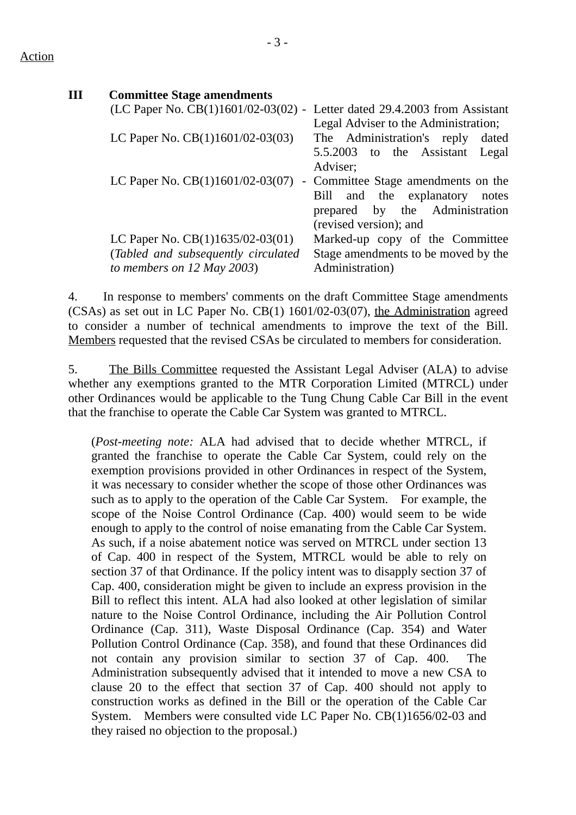#### Action

| Ш | <b>Committee Stage amendments</b>   |                                       |
|---|-------------------------------------|---------------------------------------|
|   | (LC Paper No. CB(1)1601/02-03(02) - | Letter dated 29.4.2003 from Assistant |
|   |                                     | Legal Adviser to the Administration;  |
|   | LC Paper No. $CB(1)1601/02-03(03)$  | The Administration's reply<br>dated   |
|   |                                     | 5.5.2003 to the Assistant<br>Legal    |
|   |                                     | Adviser;                              |
|   | LC Paper No. CB(1)1601/02-03(07)    | - Committee Stage amendments on the   |
|   |                                     | and the explanatory<br>Bill<br>notes  |
|   |                                     | prepared by the Administration        |
|   |                                     | (revised version); and                |
|   | LC Paper No. CB(1)1635/02-03(01)    | Marked-up copy of the Committee       |
|   | (Tabled and subsequently circulated | Stage amendments to be moved by the   |
|   | to members on $12$ May 2003)        | Administration)                       |

4. In response to members' comments on the draft Committee Stage amendments (CSAs) as set out in LC Paper No. CB(1) 1601/02-03(07), the Administration agreed to consider a number of technical amendments to improve the text of the Bill. Members requested that the revised CSAs be circulated to members for consideration.

5. The Bills Committee requested the Assistant Legal Adviser (ALA) to advise whether any exemptions granted to the MTR Corporation Limited (MTRCL) under other Ordinances would be applicable to the Tung Chung Cable Car Bill in the event that the franchise to operate the Cable Car System was granted to MTRCL.

(*Post-meeting note:* ALA had advised that to decide whether MTRCL, if granted the franchise to operate the Cable Car System, could rely on the exemption provisions provided in other Ordinances in respect of the System, it was necessary to consider whether the scope of those other Ordinances was such as to apply to the operation of the Cable Car System. For example, the scope of the Noise Control Ordinance (Cap. 400) would seem to be wide enough to apply to the control of noise emanating from the Cable Car System. As such, if a noise abatement notice was served on MTRCL under section 13 of Cap. 400 in respect of the System, MTRCL would be able to rely on section 37 of that Ordinance. If the policy intent was to disapply section 37 of Cap. 400, consideration might be given to include an express provision in the Bill to reflect this intent. ALA had also looked at other legislation of similar nature to the Noise Control Ordinance, including the Air Pollution Control Ordinance (Cap. 311), Waste Disposal Ordinance (Cap. 354) and Water Pollution Control Ordinance (Cap. 358), and found that these Ordinances did not contain any provision similar to section 37 of Cap. 400. The Administration subsequently advised that it intended to move a new CSA to clause 20 to the effect that section 37 of Cap. 400 should not apply to construction works as defined in the Bill or the operation of the Cable Car System. Members were consulted vide LC Paper No. CB(1)1656/02-03 and they raised no objection to the proposal.)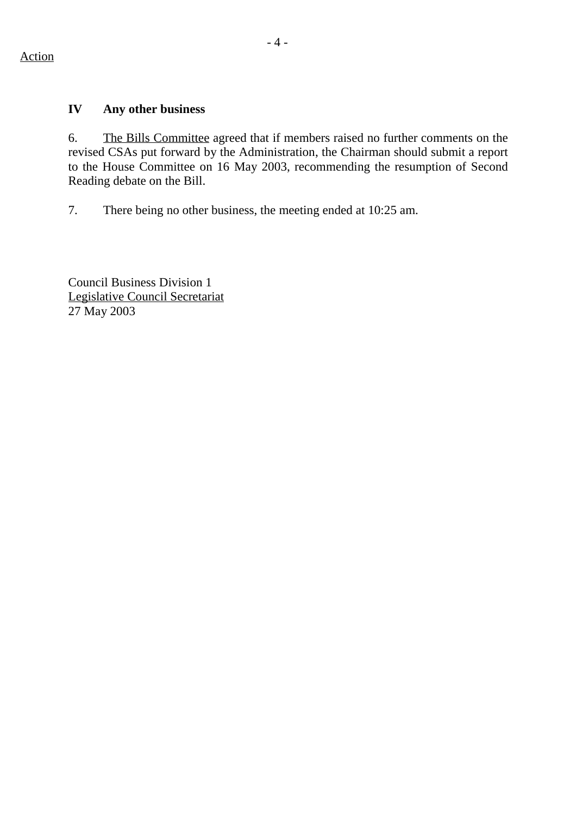#### **IV Any other business**

6. The Bills Committee agreed that if members raised no further comments on the revised CSAs put forward by the Administration, the Chairman should submit a report to the House Committee on 16 May 2003, recommending the resumption of Second Reading debate on the Bill.

7. There being no other business, the meeting ended at 10:25 am.

Council Business Division 1 Legislative Council Secretariat 27 May 2003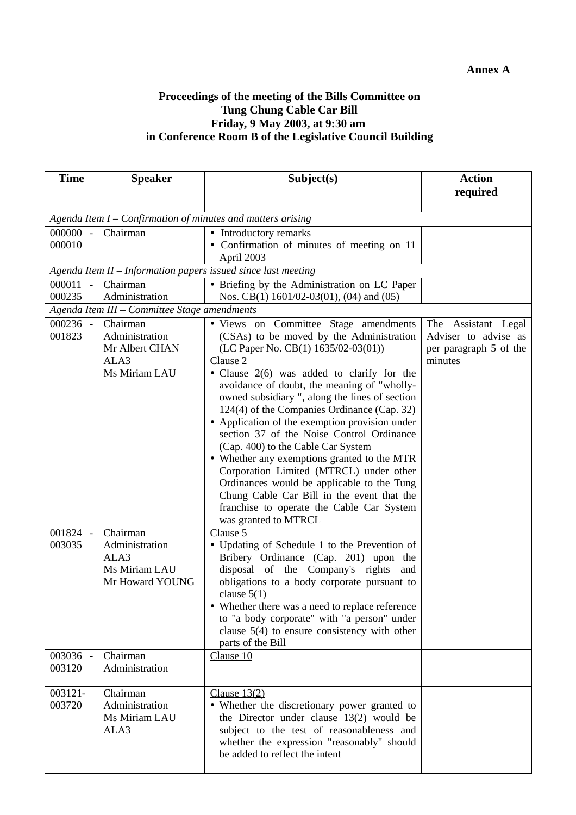## **Annex A**

#### **Proceedings of the meeting of the Bills Committee on Tung Chung Cable Car Bill Friday, 9 May 2003, at 9:30 am in Conference Room B of the Legislative Council Building**

| <b>Time</b>        | <b>Speaker</b>                                                         | Subject(s)                                                                                                                                                                                                                                                                                                                                                                                                                                                                                                                                                                                 | <b>Action</b>                                  |
|--------------------|------------------------------------------------------------------------|--------------------------------------------------------------------------------------------------------------------------------------------------------------------------------------------------------------------------------------------------------------------------------------------------------------------------------------------------------------------------------------------------------------------------------------------------------------------------------------------------------------------------------------------------------------------------------------------|------------------------------------------------|
|                    |                                                                        |                                                                                                                                                                                                                                                                                                                                                                                                                                                                                                                                                                                            | required                                       |
|                    |                                                                        |                                                                                                                                                                                                                                                                                                                                                                                                                                                                                                                                                                                            |                                                |
|                    |                                                                        | Agenda Item I - Confirmation of minutes and matters arising                                                                                                                                                                                                                                                                                                                                                                                                                                                                                                                                |                                                |
| 000000 -<br>000010 | Chairman                                                               | • Introductory remarks                                                                                                                                                                                                                                                                                                                                                                                                                                                                                                                                                                     |                                                |
|                    |                                                                        | • Confirmation of minutes of meeting on 11<br>April 2003                                                                                                                                                                                                                                                                                                                                                                                                                                                                                                                                   |                                                |
|                    |                                                                        | Agenda Item II - Information papers issued since last meeting                                                                                                                                                                                                                                                                                                                                                                                                                                                                                                                              |                                                |
| 000011 -           | Chairman                                                               | · Briefing by the Administration on LC Paper                                                                                                                                                                                                                                                                                                                                                                                                                                                                                                                                               |                                                |
| 000235             | Administration                                                         | Nos. CB(1) 1601/02-03(01), (04) and (05)                                                                                                                                                                                                                                                                                                                                                                                                                                                                                                                                                   |                                                |
|                    | Agenda Item III - Committee Stage amendments                           |                                                                                                                                                                                                                                                                                                                                                                                                                                                                                                                                                                                            |                                                |
| 000236 -           | Chairman                                                               | · Views on Committee Stage amendments                                                                                                                                                                                                                                                                                                                                                                                                                                                                                                                                                      | The Assistant Legal                            |
| 001823             | Administration<br>Mr Albert CHAN                                       | (CSAs) to be moved by the Administration<br>(LC Paper No. CB(1) 1635/02-03(01))                                                                                                                                                                                                                                                                                                                                                                                                                                                                                                            | Adviser to advise as<br>per paragraph 5 of the |
|                    | ALA3                                                                   | Clause 2                                                                                                                                                                                                                                                                                                                                                                                                                                                                                                                                                                                   | minutes                                        |
|                    | Ms Miriam LAU                                                          | • Clause 2(6) was added to clarify for the<br>avoidance of doubt, the meaning of "wholly-<br>owned subsidiary ", along the lines of section<br>124(4) of the Companies Ordinance (Cap. 32)<br>• Application of the exemption provision under<br>section 37 of the Noise Control Ordinance<br>(Cap. 400) to the Cable Car System<br>• Whether any exemptions granted to the MTR<br>Corporation Limited (MTRCL) under other<br>Ordinances would be applicable to the Tung<br>Chung Cable Car Bill in the event that the<br>franchise to operate the Cable Car System<br>was granted to MTRCL |                                                |
| 001824 -<br>003035 | Chairman<br>Administration<br>ALA3<br>Ms Miriam LAU<br>Mr Howard YOUNG | Clause 5<br>• Updating of Schedule 1 to the Prevention of<br>Bribery Ordinance (Cap. 201) upon the<br>disposal of the Company's rights<br>and<br>obligations to a body corporate pursuant to<br>clause $5(1)$<br>• Whether there was a need to replace reference<br>to "a body corporate" with "a person" under<br>clause $5(4)$ to ensure consistency with other<br>parts of the Bill                                                                                                                                                                                                     |                                                |
| 003036 -<br>003120 | Chairman<br>Administration                                             | Clause 10                                                                                                                                                                                                                                                                                                                                                                                                                                                                                                                                                                                  |                                                |
| 003121-<br>003720  | Chairman<br>Administration<br>Ms Miriam LAU<br>ALA3                    | Clause $13(2)$<br>• Whether the discretionary power granted to<br>the Director under clause $13(2)$ would be<br>subject to the test of reasonableness and<br>whether the expression "reasonably" should<br>be added to reflect the intent                                                                                                                                                                                                                                                                                                                                                  |                                                |